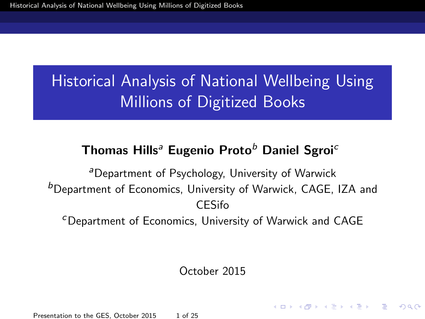#### <span id="page-0-0"></span>Thomas Hills<sup>a</sup> Eugenio Proto<sup>b</sup> Daniel Sgroi<sup>c</sup>

<sup>a</sup>Department of Psychology, University of Warwick **b**Department of Economics, University of Warwick, CAGE, IZA and CESifo

<sup>c</sup>Department of Economics, University of Warwick and CAGE

October 2015

Presentation to the GES, October 2015 1 of 25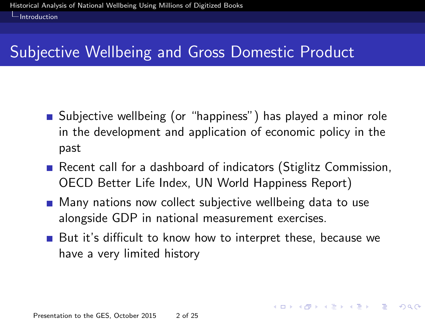## <span id="page-1-0"></span>Subjective Wellbeing and Gross Domestic Product

- **Subjective wellbeing (or "happiness") has played a minor role** in the development and application of economic policy in the past
- Recent call for a dashboard of indicators (Stiglitz Commission, OECD Better Life Index, UN World Happiness Report)
- **Many nations now collect subjective wellbeing data to use** alongside GDP in national measurement exercises.
- But it's difficult to know how to interpret these, because we have a very limited history

 $\Omega$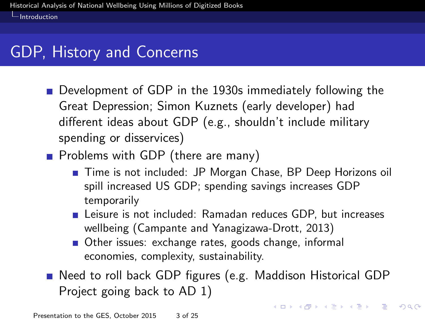## <span id="page-2-0"></span>GDP, History and Concerns

- Development of GDP in the 1930s immediately following the Great Depression; Simon Kuznets (early developer) had different ideas about GDP (e.g., shouldn't include military spending or disservices)
- **Problems with GDP (there are many)** 
	- Time is not included: JP Morgan Chase, BP Deep Horizons oil spill increased US GDP; spending savings increases GDP temporarily
	- **Leisure is not included: Ramadan reduces GDP, but increases** wellbeing (Campante and Yanagizawa-Drott, 2013)
	- Other issues: exchange rates, goods change, informal economies, complexity, sustainability.
- Need to roll back GDP figures (e.g. Maddison Historical GDP Project going back to AD 1)

イロト 不優 ト 不重 ト 不重 トー 重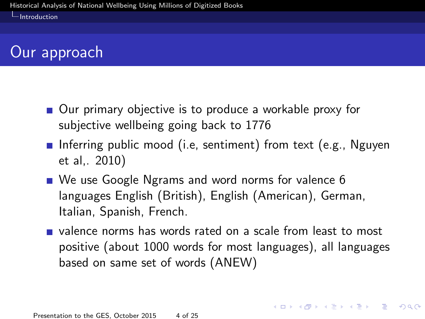## <span id="page-3-0"></span>Our approach

- Our primary objective is to produce a workable proxy for subjective wellbeing going back to 1776
- **Inferring public mood (i.e. sentiment) from text (e.g., Nguyen** et al,. 2010)
- We use Google Ngrams and word norms for valence 6 languages English (British), English (American), German, Italian, Spanish, French.
- valence norms has words rated on a scale from least to most positive (about 1000 words for most languages), all languages based on same set of words (ANEW)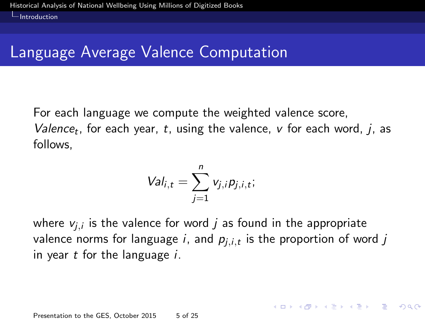## <span id="page-4-0"></span>Language Average Valence Computation

For each language we compute the weighted valence score, Valence<sub>t</sub>, for each year, t, using the valence,  $v$  for each word, j, as follows,

$$
\mathsf{Val}_{i,t} = \sum_{j=1}^n v_{j,i} p_{j,i,t};
$$

where  $\mathsf{v}_{j,i}$  is the valence for word  $j$  as found in the appropriate valence norms for language  $i$ , and  $\boldsymbol{p}_{j,i,t}$  is the proportion of word  $j$ in year  $t$  for the language  $i$ .

**KORK EX KEY STARK**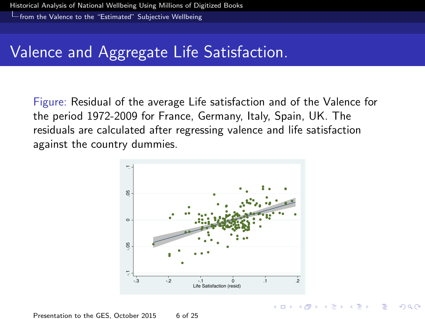<span id="page-5-0"></span>[from the Valence to the "Estimated" Subjective Wellbeing](#page-5-0)

## Valence and Aggregate Life Satisfaction.

Figure: Residual of the average Life satisfaction and of the Valence for the period 1972-2009 for France, Germany, Italy, Spain, UK. The residuals are calculated after regressing valence and life satisfaction against the country dummies.



 $A \oplus A \rightarrow A \oplus A \rightarrow A \oplus A$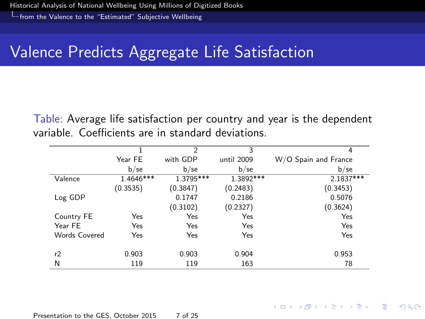<span id="page-6-0"></span>[from the Valence to the "Estimated" Subjective Wellbeing](#page-6-0)

## Valence Predicts Aggregate Life Satisfaction

Table: Average life satisfaction per country and year is the dependent variable. Coefficients are in standard deviations.

|               |           | $\overline{2}$ | 3          | 4                    |
|---------------|-----------|----------------|------------|----------------------|
|               | Year FE   | with GDP       | until 2009 | W/O Spain and France |
|               | $b$ /se   | $b$ /se        | $b$ /se    | $b$ /se              |
| Valence       | 1.4646*** | 1.3795***      | 1.3892 *** | 2.1837***            |
|               | (0.3535)  | (0.3847)       | (0.2483)   | (0.3453)             |
| Log GDP       |           | 0.1747         | 0.2186     | 0.5076               |
|               |           | (0.3102)       | (0.2327)   | (0.3624)             |
| Country FE    | Yes       | Yes            | Yes        | Yes                  |
| Year FE       | Yes       | Yes            | Yes        | Yes                  |
| Words Covered | Yes       | Yes            | Yes        | Yes                  |
|               |           |                |            |                      |
| r2            | 0.903     | 0.903          | 0.904      | 0.953                |
| N             | 119       | 119            | 163        | 78                   |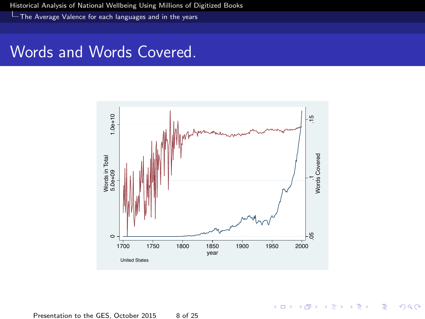<span id="page-7-0"></span>[The Average Valence for each languages and in the years](#page-7-0)

#### Words and Words Covered.



イロメ イ部メ イ君メ イ君メ

 $299$ 

Ε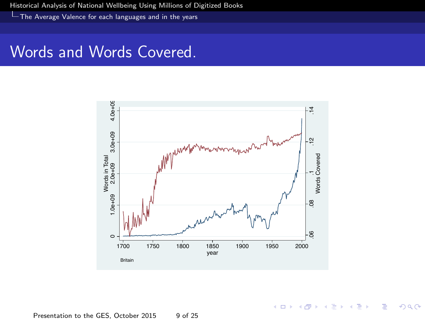<span id="page-8-0"></span>[The Average Valence for each languages and in the years](#page-8-0)

#### Words and Words Covered.



 $\leftarrow$   $\Box$ 

 $AB + AB$ 

 $\rightarrow$ Þ × Ε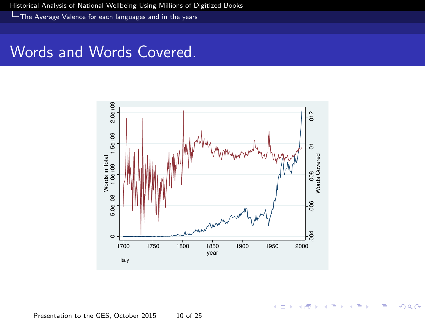<span id="page-9-0"></span>[The Average Valence for each languages and in the years](#page-9-0)

#### Words and Words Covered.



**K ロ ト K 倒 ト K ミ ト** 

 $290$ 

Þ

Ε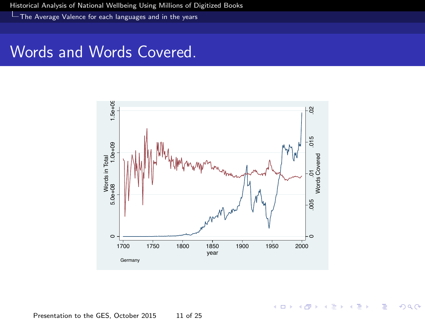<span id="page-10-0"></span>[The Average Valence for each languages and in the years](#page-10-0)

#### Words and Words Covered.



イロト イ部ト イミト イ

重 × Ε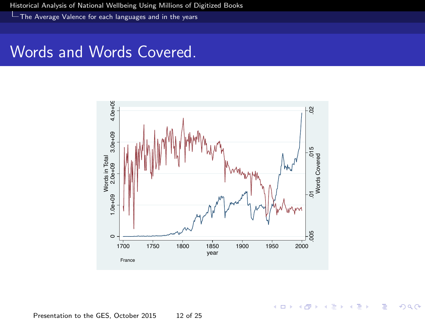<span id="page-11-0"></span>[The Average Valence for each languages and in the years](#page-11-0)

#### Words and Words Covered.



 $\leftarrow$   $\Box$   $\rightarrow$ 

 $\rightarrow$   $\oplus$   $\rightarrow$   $\rightarrow$   $\oplus$   $\rightarrow$ 

Þ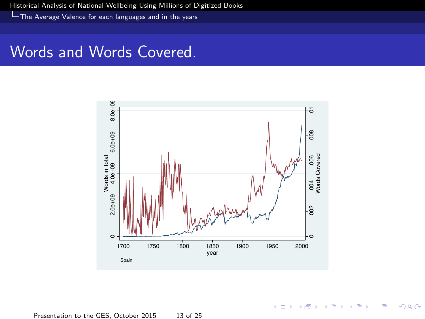<span id="page-12-0"></span>[The Average Valence for each languages and in the years](#page-12-0)

#### Words and Words Covered.



イロト イ部ト イミト イ

 $\geq$ 

Ε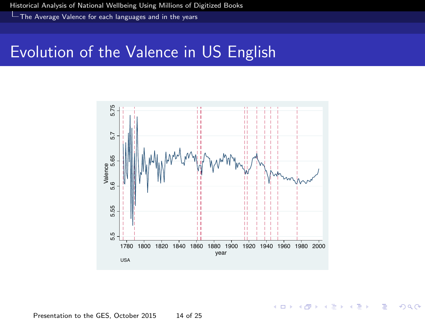<span id="page-13-0"></span>[The Average Valence for each languages and in the years](#page-13-0)

#### Evolution of the Valence in US English



**K ロ ト K 部 ト K ミ ト** 

 $\Omega$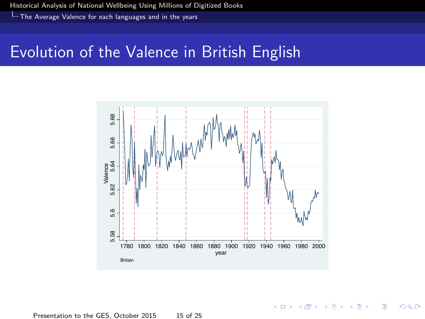<span id="page-14-0"></span>[The Average Valence for each languages and in the years](#page-14-0)

### Evolution of the Valence in British English



**KOX KARY KEY** 

Þ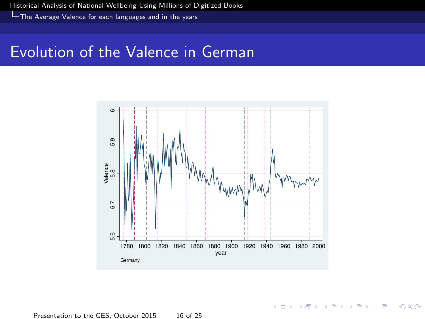<span id="page-15-0"></span>[The Average Valence for each languages and in the years](#page-15-0)

## Evolution of the Valence in German



4 ロ ト 4 何 ト 4 ヨ

J. ∍  $\Omega$ 

Presentation to the GES, October 2015 16 of 25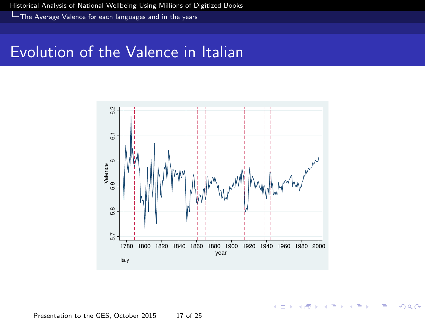<span id="page-16-0"></span>[The Average Valence for each languages and in the years](#page-16-0)

#### Evolution of the Valence in Italian



**KOX KARY KEY** 

Þ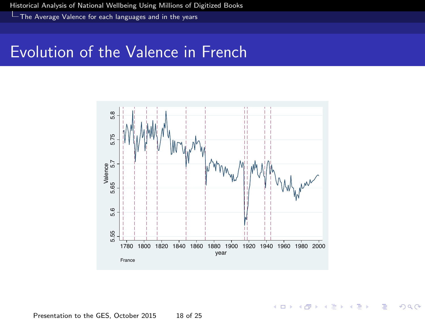<span id="page-17-0"></span>[The Average Valence for each languages and in the years](#page-17-0)

#### Evolution of the Valence in French



**KOX KARY KEY** 

Þ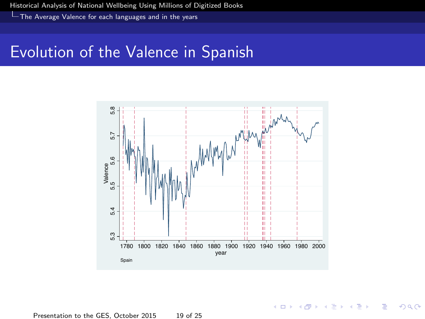<span id="page-18-0"></span>[The Average Valence for each languages and in the years](#page-18-0)

### Evolution of the Valence in Spanish



 $\leftarrow$   $\Box$ 

→ 伊 → → 毛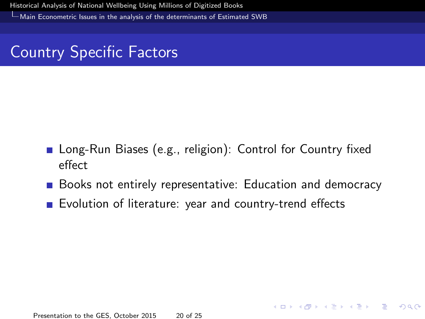<span id="page-19-0"></span>[Main Econometric Issues in the analysis of the determinants of Estimated SWB](#page-19-0)

## Country Specific Factors

- **Long-Run Biases (e.g., religion): Control for Country fixed** effect
- Books not entirely representative: Education and democracy

K ロ ▶ K @ ▶ K 할 ▶ K 할 ▶ ( 할 ) 10 Q Q Q

**Explution of literature: year and country-trend effects**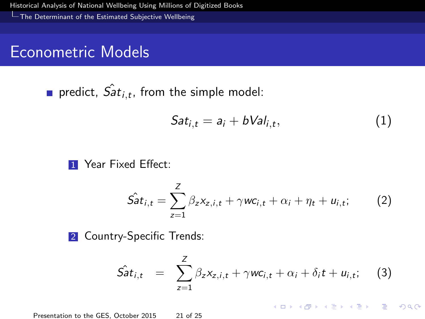<span id="page-20-0"></span>[The Determinant of the Estimated Subjective Wellbeing](#page-20-0)

#### Econometric Models

predict,  $\hat{Sat}_{i,t}$ , from the simple model:

$$
Sat_{i,t}=a_i+bVal_{i,t}, \qquad (1)
$$

**1** Year Fixed Effect:

$$
\hat{Sat}_{i,t} = \sum_{z=1}^{Z} \beta_z x_{z,i,t} + \gamma w c_{i,t} + \alpha_i + \eta_t + u_{i,t};
$$
 (2)

2 Country-Specific Trends:

$$
\hat{Sat}_{i,t} = \sum_{z=1}^{Z} \beta_z x_{z,i,t} + \gamma w c_{i,t} + \alpha_i + \delta_i t + u_{i,t}; \quad (3)
$$

K ロ ▶ K @ ▶ K 할 ▶ K 할 ▶ ( 할 ) 10 Q Q Q

Presentation to the GES, October 2015 21 of 25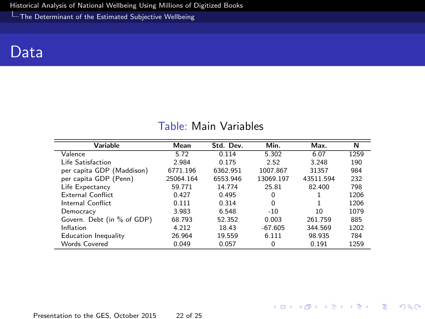<span id="page-21-0"></span>[The Determinant of the Estimated Subjective Wellbeing](#page-21-0)

#### Data

| <b>Variable</b>            | Mean      | Std. Dev. | Min.      | Max.      | N    |
|----------------------------|-----------|-----------|-----------|-----------|------|
| Valence                    | 5.72      | 0.114     | 5.302     | 6.07      | 1259 |
|                            |           |           |           |           |      |
| Life Satisfaction          | 2.984     | 0.175     | 2.52      | 3.248     | 190  |
| per capita GDP (Maddison)  | 6771.196  | 6362.951  | 1007.867  | 31357     | 984  |
| per capita GDP (Penn)      | 25064.164 | 6553.946  | 13069.197 | 43511.594 | 232  |
| Life Expectancy            | 59.771    | 14.774    | 25.81     | 82.400    | 798  |
| External Conflict          | 0.427     | 0.495     | 0         |           | 1206 |
| Internal Conflict          | 0.111     | 0.314     | $\Omega$  |           | 1206 |
| Democracy                  | 3.983     | 6.548     | $-10$     | 10        | 1079 |
| Govern. Debt (in % of GDP) | 68.793    | 52.352    | 0.003     | 261.759   | 885  |
| Inflation                  | 4.212     | 18.43     | $-67.605$ | 344.569   | 1202 |
| Education Inequality       | 26.964    | 19.559    | 6.111     | 98.935    | 784  |
| Words Covered              | 0.049     | 0.057     | 0         | 0.191     | 1259 |

#### Table: Main Variables

Presentation to the GES, October 2015 22 of 25

K ロ > K 레 > K 코 > K 코 > - 코 - YO Q Q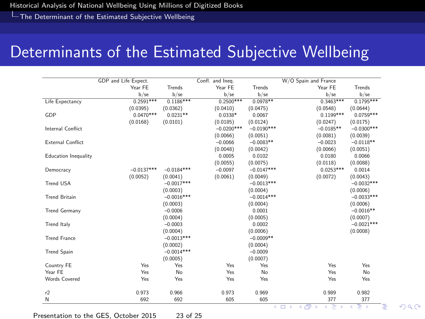<span id="page-22-0"></span>[The Determinant of the Estimated Subjective Wellbeing](#page-22-0)

### Determinants of the Estimated Subjective Wellbeing

|                             | GDP and Life Expect. |              | Confl. and Ineq. |              | W/O Spain and France |              |
|-----------------------------|----------------------|--------------|------------------|--------------|----------------------|--------------|
|                             | Year FE              | Trends       | Year FE          | Trends       | Year FE              | Trends       |
|                             | $b$ /se              | $b$ /se      | $b$ /se          | $b$ /se      | $b$ /se              | $b$ /se      |
| Life Expectancy             | $0.2591***$          | $0.1186***$  | $0.2500***$      | $0.0978**$   | $0.3463***$          | $0.1795***$  |
|                             | (0.0395)             | (0.0362)     | (0.0410)         | (0.0475)     | (0.0548)             | (0.0644)     |
| GDP                         | $0.0470***$          | $0.0231**$   | $0.0338*$        | 0.0067       | $0.1199***$          | $0.0759***$  |
|                             | (0.0168)             | (0.0101)     | (0.0185)         | (0.0124)     | (0.0247)             | (0.0175)     |
| Internal Conflict           |                      |              | $-0.0200***$     | $-0.0190***$ | $-0.0185**$          | $-0.0300***$ |
|                             |                      |              | (0.0066)         | (0.0051)     | (0.0081)             | (0.0039)     |
| <b>External Conflict</b>    |                      |              | $-0.0066$        | $-0.0083**$  | $-0.0023$            | $-0.0118**$  |
|                             |                      |              | (0.0048)         | (0.0042)     | (0.0066)             | (0.0051)     |
| <b>Education Inequality</b> |                      |              | 0.0005           | 0.0102       | 0.0180               | 0.0066       |
|                             |                      |              | (0.0055)         | (0.0075)     | (0.0118)             | (0.0088)     |
| Democracy                   | $-0.0137***$         | $-0.0184***$ | $-0.0097$        | $-0.0147***$ | $0.0253***$          | 0.0014       |
|                             | (0.0052)             | (0.0041)     | (0.0061)         | (0.0049)     | (0.0072)             | (0.0043)     |
| Trend USA                   |                      | $-0.0017***$ |                  | $-0.0013***$ |                      | $-0.0032***$ |
|                             |                      | (0.0003)     |                  | (0.0004)     |                      | (0.0006)     |
| <b>Trend Britain</b>        |                      | $-0.0016***$ |                  | $-0.0014***$ |                      | $-0.0033***$ |
|                             |                      | (0.0003)     |                  | (0.0004)     |                      | (0.0006)     |
| <b>Trend Germany</b>        |                      | $-0.0006$    |                  | 0.0001       |                      | $-0.0016**$  |
|                             |                      | (0.0004)     |                  | (0.0005)     |                      | (0.0007)     |
| Trend Italy                 |                      | $-0.0003$    |                  | 0.0002       |                      | $-0.0021***$ |
|                             |                      | (0.0004)     |                  | (0.0006)     |                      | (0.0008)     |
| <b>Trend France</b>         |                      | $-0.0013***$ |                  | $-0.0009**$  |                      |              |
|                             |                      | (0.0002)     |                  | (0.0004)     |                      |              |
| <b>Trend Spain</b>          |                      | $-0.0014***$ |                  | $-0.0009$    |                      |              |
|                             |                      | (0.0005)     |                  | (0.0007)     |                      |              |
| Country FE                  | Yes                  | Yes          | Yes              | Yes          | Yes                  | Yes          |
| Year FF                     | Yes                  | No           | Yes              | No           | Yes                  | No           |
| <b>Words Covered</b>        | Yes                  | Yes          | Yes              | Yes          | Yes                  | Yes          |
| r2                          | 0.973                | 0.966        | 0.973            | 0.969        | 0.989                | 0.982        |
| N                           | 692                  | 692          | 605              | 605          | 377                  | 377          |

Presentation to the GES, October 2015 23 of 25

 $QQ$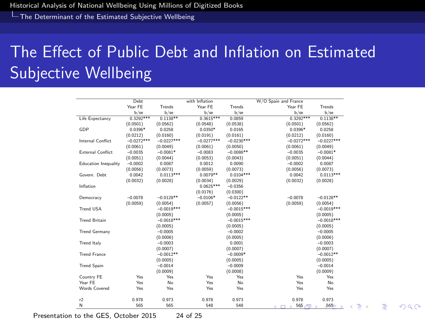<span id="page-23-0"></span>[The Determinant of the Estimated Subjective Wellbeing](#page-23-0)

# The Effect of Public Debt and Inflation on Estimated Subjective Wellbeing

|                             | Debt         |              | with Inflation |              | W/O Spain and France |              |
|-----------------------------|--------------|--------------|----------------|--------------|----------------------|--------------|
|                             | Year FE      | Trends       | Year FE        | Trends       | Year FE              | Trends       |
|                             | $b$ /se      | $b$ /se      | $b$ /se        | b/sec        | $b$ /se              | $b$ /se      |
| Life Expectancy             | $0.3292***$  | $0.1138**$   | $0.3615***$    | 0.0859       | $0.3292***$          | $0.1138**$   |
|                             | (0.0501)     | (0.0562)     | (0.0548)       | (0.0538)     | (0.0501)             | (0.0562)     |
| GDP                         | $0.0396*$    | 0.0258       | $0.0350*$      | 0.0165       | $0.0396*$            | 0.0258       |
|                             | (0.0212)     | (0.0160)     | (0.0191)       | (0.0161)     | (0.0212)             | (0.0160)     |
| Internal Conflict           | $-0.0272***$ | $-0.0227***$ | $-0.0277***$   | $-0.0230***$ | $-0.0272***$         | $-0.0227***$ |
|                             | (0.0061)     | (0.0049)     | (0.0061)       | (0.0050)     | (0.0061)             | (0.0049)     |
| <b>External Conflict</b>    | $-0.0035$    | $-0.0081*$   | $-0.0083$      | $-0.0086**$  | $-0.0035$            | $-0.0081*$   |
|                             | (0.0051)     | (0.0044)     | (0.0053)       | (0.0043)     | (0.0051)             | (0.0044)     |
| <b>Education Inequality</b> | $-0.0002$    | 0.0087       | 0.0012         | 0.0090       | $-0.0002$            | 0.0087       |
|                             | (0.0056)     | (0.0073)     | (0.0059)       | (0.0073)     | (0.0056)             | (0.0073)     |
| Govern. Debt                | 0.0042       | $0.0113***$  | $0.0079**$     | $0.0104***$  | 0.0042               | $0.0113***$  |
|                             | (0.0032)     | (0.0028)     | (0.0034)       | (0.0029)     | (0.0032)             | (0.0028)     |
| Inflation                   |              |              | $0.0625***$    | $-0.0356$    |                      |              |
|                             |              |              | (0.0176)       | (0.0300)     |                      |              |
| Democracy                   | $-0.0078$    | $-0.0128**$  | $-0.0106*$     | $-0.0122**$  | $-0.0078$            | $-0.0128**$  |
|                             | (0.0059)     | (0.0054)     | (0.0057)       | (0.0056)     | (0.0059)             | (0.0054)     |
| <b>Trend USA</b>            |              | $-0.0019***$ |                | $-0.0015***$ |                      | $-0.0019***$ |
|                             |              | (0.0005)     |                | (0.0005)     |                      | (0.0005)     |
| <b>Trend Britain</b>        |              | $-0.0018***$ |                | $-0.0015***$ |                      | $-0.0018***$ |
|                             |              | (0.0005)     |                | (0.0005)     |                      | (0.0005)     |
| <b>Trend Germany</b>        |              | $-0.0005$    |                | $-0.0002$    |                      | $-0.0005$    |
|                             |              | (0.0006)     |                | (0.0005)     |                      | (0.0006)     |
| <b>Trend Italy</b>          |              | $-0.0003$    |                | 0.0001       |                      | $-0.0003$    |
|                             |              | (0.0007)     |                | (0.0007)     |                      | (0.0007)     |
| <b>Trend France</b>         |              | $-0.0012**$  |                | $-0.0009*$   |                      | $-0.0012**$  |
|                             |              | (0.0005)     |                | (0.0005)     |                      | (0.0005)     |
| <b>Trend Spain</b>          |              | $-0.0014$    |                | $-0.0009$    |                      | $-0.0014$    |
|                             |              | (0.0009)     |                | (0.0008)     |                      | (0.0009)     |
| Country FE                  | Yes          | Yes          | Yes            | Yes          | Yes                  | Yes          |
| Year FE                     | Yes          | No           | Yes            | No           | Yes                  | No           |
| <b>Words Covered</b>        | Yes          | Yes          | Yes            | Yes          | Yes                  | Yes          |
| r2                          | 0.978        | 0.973        | 0.978          | 0.973        | 0.978                | 0.973        |
| N                           | 565          | 565          | 548            | 548          | $565 -$<br>d.        | $565 -$      |

 $QQ$ 

画

Presentation to the GES, October 2015 24 of 25